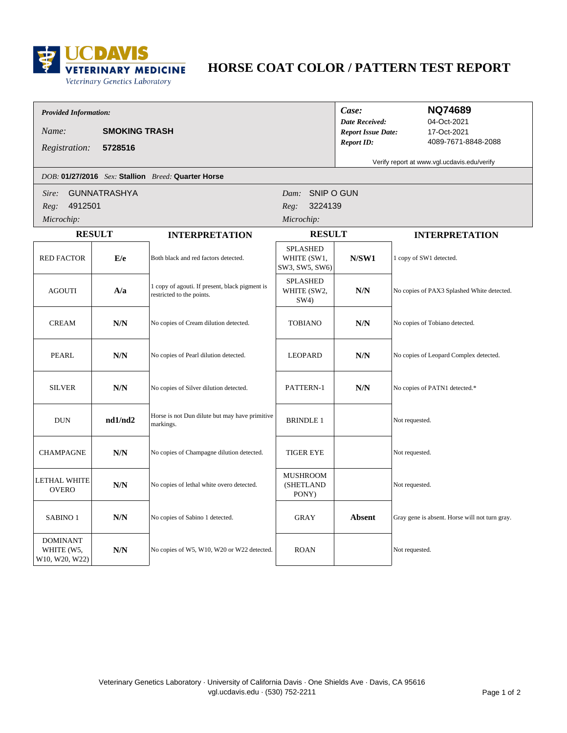

# **HORSE COAT COLOR / PATTERN TEST REPORT**

### *Provided Information:*

*Name:* **SMOKING TRASH**

*DOB:* **01/27/2016** *Sex:* **Stallion** *Breed:* **Quarter Horse**

| Case:                     |  |
|---------------------------|--|
| <b>Date Received:</b>     |  |
| <b>Report Issue Date:</b> |  |
| <b>Report ID:</b>         |  |

### **NQ74689**

17-Oct-2021 4089-7671-8848-2088 04-Oct-2021

**5728516** *Registration:*

Verify report at www.vgl.ucdavis.edu/verify

| Sire:<br>Reg:<br>Microchip:                     | SNIP O GUN<br><b>GUNNATRASHYA</b><br>Dam:<br>4912501<br>3224139<br>Reg:<br>Microchip: |                                                                             |                                                  |                         |                                                |
|-------------------------------------------------|---------------------------------------------------------------------------------------|-----------------------------------------------------------------------------|--------------------------------------------------|-------------------------|------------------------------------------------|
| <b>RESULT</b>                                   |                                                                                       | <b>INTERPRETATION</b>                                                       | <b>RESULT</b>                                    |                         | <b>INTERPRETATION</b>                          |
| <b>RED FACTOR</b>                               | E/e                                                                                   | Both black and red factors detected.                                        | <b>SPLASHED</b><br>WHITE (SW1,<br>SW3, SW5, SW6) | N/SW1                   | 1 copy of SW1 detected.                        |
| <b>AGOUTI</b>                                   | A/a                                                                                   | 1 copy of agouti. If present, black pigment is<br>restricted to the points. | <b>SPLASHED</b><br>WHITE (SW2,<br>SW4)           | $N/N$                   | No copies of PAX3 Splashed White detected.     |
| <b>CREAM</b>                                    | $\textbf{N/N}$                                                                        | No copies of Cream dilution detected.                                       | <b>TOBIANO</b>                                   | $\mathbf{N}/\mathbf{N}$ | No copies of Tobiano detected.                 |
| PEARL                                           | N/N                                                                                   | No copies of Pearl dilution detected.                                       | <b>LEOPARD</b>                                   | N/N                     | No copies of Leopard Complex detected.         |
| <b>SILVER</b>                                   | N/N                                                                                   | No copies of Silver dilution detected.                                      | PATTERN-1                                        | $\mathbf{N}/\mathbf{N}$ | No copies of PATN1 detected.*                  |
| <b>DUN</b>                                      | nd1/nd2                                                                               | Horse is not Dun dilute but may have primitive<br>markings.                 | <b>BRINDLE 1</b>                                 |                         | Not requested.                                 |
| <b>CHAMPAGNE</b>                                | N/N                                                                                   | No copies of Champagne dilution detected.                                   | <b>TIGER EYE</b>                                 |                         | Not requested.                                 |
| <b>LETHAL WHITE</b><br><b>OVERO</b>             | N/N                                                                                   | No copies of lethal white overo detected.                                   | <b>MUSHROOM</b><br>(SHETLAND<br>PONY)            |                         | Not requested.                                 |
| SABINO <sub>1</sub>                             | N/N                                                                                   | No copies of Sabino 1 detected.                                             | <b>GRAY</b>                                      | <b>Absent</b>           | Gray gene is absent. Horse will not turn gray. |
| <b>DOMINANT</b><br>WHITE (W5,<br>W10, W20, W22) | N/N                                                                                   | No copies of W5, W10, W20 or W22 detected.                                  | <b>ROAN</b>                                      |                         | Not requested.                                 |